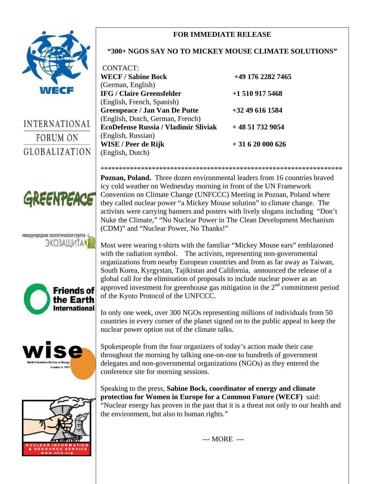## **FOR IMMEDIATE RELEASE**



**INTERNATIONAL** FORUM ON **GLOBALIZATION** 



## международная экологическая группа -ЭКОЗАШИТА







### **"300+ NGOS SAY NO TO MICKEY MOUSE CLIMATE SOLUTIONS"**

| <b>CONTACT:</b>                             |                   |
|---------------------------------------------|-------------------|
| <b>WECF / Sabine Bock</b>                   | +49 176 2282 7465 |
| (German, English)                           |                   |
| <b>IFG / Claire Greensfelder</b>            | $+15109175468$    |
| (English, French, Spanish)                  |                   |
| <b>Greenpeace / Jan Van De Putte</b>        | $+32$ 49 616 1584 |
| (English, Dutch, German, French)            |                   |
| <b>EcoDefense Russia / Vladimir Sliviak</b> | $+48517329054$    |
| (English, Russian)                          |                   |
| WISE / Peer de Rijk                         | $+31620000626$    |
| (English, Dutch)                            |                   |

\*\*\*\*\*\*\*\*\*\*\*\*\*\*\*\*\*\*\*\*\*\*\*\*\*\*\*\*\*\*\*\*\*\*\*\*\*\*\*\*\*\*\*\*\*\*\*\*\*\*\*\*\*\*\*\*\*\*\*\*\*\*\*\*\*\* **Poznan, Poland.** Three dozen environmental leaders from 16 countries braved icy cold weather on Wednesday morning in front of the UN Framework Convention on Climate Change (UNFCCC) Meeting in Poznan, Poland where they called nuclear power "a Mickey Mouse solution" to climate change. The activists were carrying banners and posters with lively slogans including "Don't Nuke the Climate," "No Nuclear Power in The Clean Development Mechanism (CDM)" and "Nuclear Power, No Thanks!"

Most were wearing t-shirts with the familiar "Mickey Mouse ears" emblazoned with the radiation symbol. The activists, representing non-governmental organizations from nearby European countries and from as far away as Taiwan, South Korea, Kyrgystan, Tajikistan and California, announced the release of a global call for the elimination of proposals to include nuclear power as an approved investment for greenhouse gas mitigation in the  $2<sup>nd</sup>$  commitment period of the Kyoto Protocol of the UNFCCC.

In only one week, over 300 NGOs representing millions of individuals from 50 countries in every corner of the planet signed on to the public appeal to keep the nuclear power option out of the climate talks.

Spokespeople from the four organizers of today's action made their case throughout the morning by talking one-on-one to hundreds of government delegates and non-governmental organizations (NGOs) as they entered the conference site for morning sessions.

Speaking to the press, **Sabine Bock, coordinator of energy and climate protection for Women in Europe for a Common Future (WECF)** said: "Nuclear energy has proven in the past that it is a threat not only to our health and the environment, but also to human rights."

--- MORE ---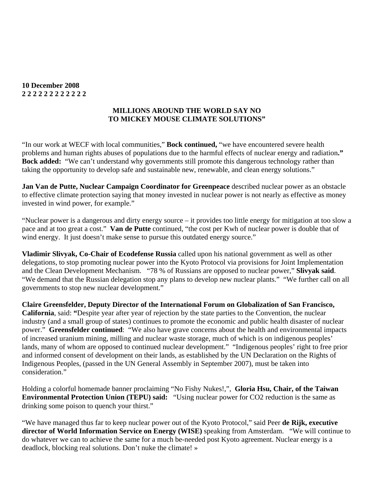#### **10 December 2008 2 2 2 2 2 2 2 2 2 2 2 2**

#### **MILLIONS AROUND THE WORLD SAY NO TO MICKEY MOUSE CLIMATE SOLUTIONS"**

"In our work at WECF with local communities," **Bock continued,** "we have encountered severe health problems and human rights abuses of populations due to the harmful effects of nuclear energy and radiation**." Bock added:** "We can't understand why governments still promote this dangerous technology rather than taking the opportunity to develop safe and sustainable new, renewable, and clean energy solutions."

**Jan Van de Putte, Nuclear Campaign Coordinator for Greenpeace** described nuclear power as an obstacle to effective climate protection saying that money invested in nuclear power is not nearly as effective as money invested in wind power, for example."

"Nuclear power is a dangerous and dirty energy source – it provides too little energy for mitigation at too slow a pace and at too great a cost." **Van de Putte** continued, "the cost per Kwh of nuclear power is double that of wind energy. It just doesn't make sense to pursue this outdated energy source."

**Vladimir Slivyak, Co-Chair of Ecodefense Russia** called upon his national government as well as other delegations, to stop promoting nuclear power into the Kyoto Protocol via provisions for Joint Implementation and the Clean Development Mechanism. "78 % of Russians are opposed to nuclear power," **Slivyak said**. "We demand that the Russian delegation stop any plans to develop new nuclear plants." "We further call on all governments to stop new nuclear development."

**Claire Greensfelder, Deputy Director of the International Forum on Globalization of San Francisco, California**, said: **"**Despite year after year of rejection by the state parties to the Convention, the nuclear industry (and a small group of states) continues to promote the economic and public health disaster of nuclear power." **Greensfelder continued**: "We also have grave concerns about the health and environmental impacts of increased uranium mining, milling and nuclear waste storage, much of which is on indigenous peoples' lands, many of whom are opposed to continued nuclear development." "Indigenous peoples' right to free prior and informed consent of development on their lands, as established by the UN Declaration on the Rights of Indigenous Peoples, (passed in the UN General Assembly in September 2007), must be taken into consideration."

Holding a colorful homemade banner proclaiming "No Fishy Nukes!,", **Gloria Hsu, Chair, of the Taiwan Environmental Protection Union (TEPU) said:** "Using nuclear power for CO2 reduction is the same as drinking some poison to quench your thirst."

"We have managed thus far to keep nuclear power out of the Kyoto Protocol," said Peer **de Rijk, executive director of World Information Service on Energy (WISE)** speaking from Amsterdam. "We will continue to do whatever we can to achieve the same for a much be-needed post Kyoto agreement. Nuclear energy is a deadlock, blocking real solutions. Don't nuke the climate! »